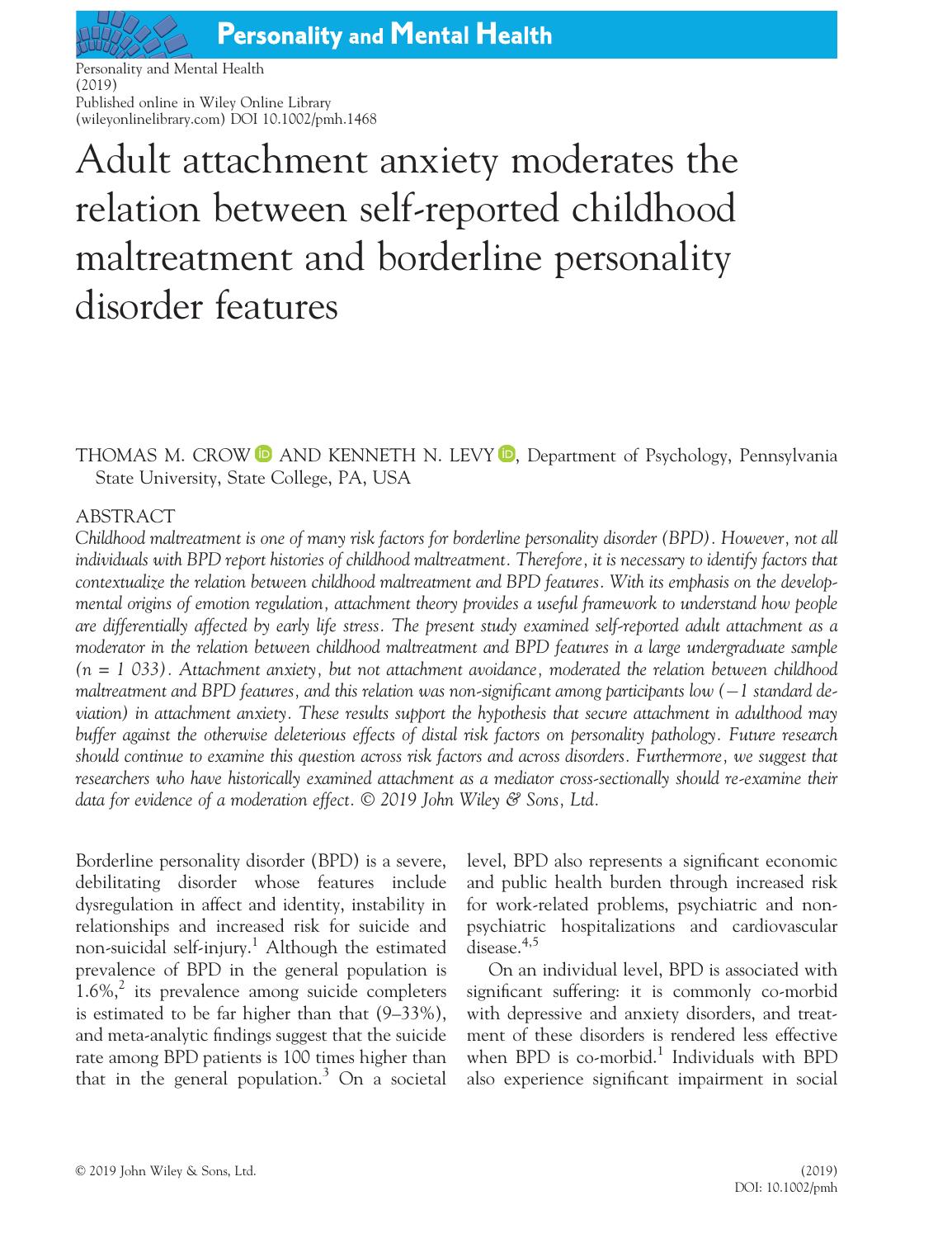Personality and Mental Health (2019) Published online in Wiley Online Library (wileyonlinelibrary.com) DOI 10.1002/pmh.1468

# Adult attachment anxiety moderates the relation between self-reported childhood maltreatment and borderline personality disorder features

THOMAS M. CROW **D** AND KENNETH N. LEVY **D**[,](https://orcid.org/0000-0002-4670-4631) Department of Psychology, Pennsylvania State University, State College, PA, USA

## ABSTRACT

*Childhood maltreatment is one of many risk factors for borderline personality disorder (BPD). However, not all individuals with BPD report histories of childhood maltreatment. Therefore, it is necessary to identify factors that contextualize the relation between childhood maltreatment and BPD features. With its emphasis on the developmental origins of emotion regulation, attachment theory provides a useful framework to understand how people are differentially affected by early life stress. The present study examined self-reported adult attachment as a moderator in the relation between childhood maltreatment and BPD features in a large undergraduate sample (n = 1 033). Attachment anxiety, but not attachment avoidance, moderated the relation between childhood maltreatment and BPD features, and this relation was non-significant among participants low (1 standard deviation) in attachment anxiety. These results support the hypothesis that secure attachment in adulthood may buffer against the otherwise deleterious effects of distal risk factors on personality pathology. Future research should continue to examine this question across risk factors and across disorders. Furthermore, we suggest that researchers who have historically examined attachment as a mediator cross-sectionally should re-examine their data for evidence of a moderation effect. © 2019 John Wiley & Sons, Ltd.*

Borderline personality disorder (BPD) is a severe, debilitating disorder whose features include dysregulation in affect and identity, instability in relationships and increased risk for suicide and non-suicidal self-injury.<sup>1</sup> Although the estimated prevalence of BPD in the general population is  $1.6\%$ <sup>2</sup>, its prevalence among suicide completers is estimated to be far higher than that (9–33%), and meta-analytic findings suggest that the suicide rate among BPD patients is 100 times higher than that in the general population.<sup>3</sup> On a societal level, BPD also represents a significant economic and public health burden through increased risk for work-related problems, psychiatric and nonpsychiatric hospitalizations and cardiovascular disease.<sup>4,5</sup>

On an individual level, BPD is associated with significant suffering: it is commonly co-morbid with depressive and anxiety disorders, and treatment of these disorders is rendered less effective when BPD is co-morbid.<sup>1</sup> Individuals with BPD also experience significant impairment in social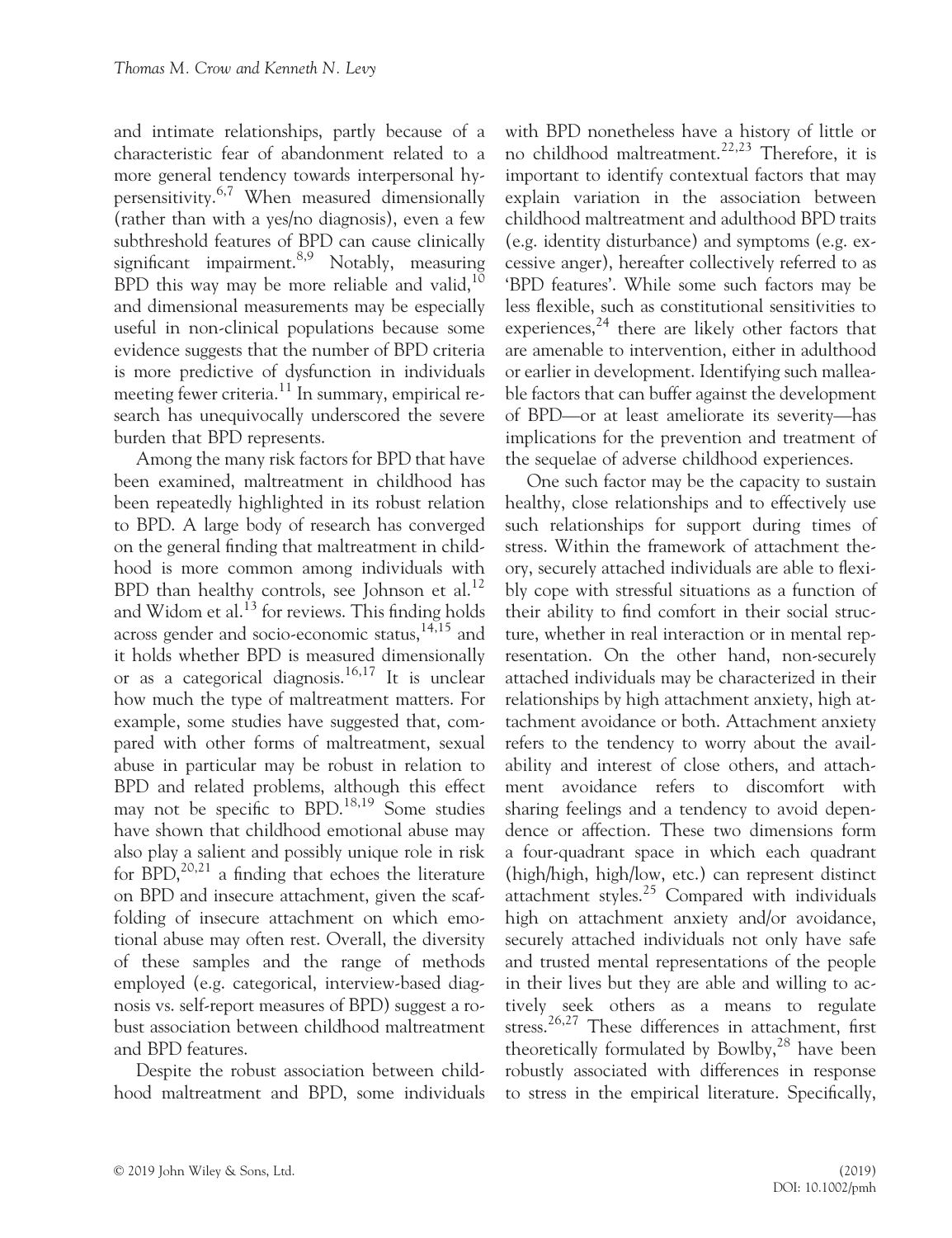and intimate relationships, partly because of a characteristic fear of abandonment related to a more general tendency towards interpersonal hypersensitivity.<sup>6,7</sup> When measured dimensionally (rather than with a yes/no diagnosis), even a few subthreshold features of BPD can cause clinically significant impairment.<sup>8,9</sup> Notably, measuring BPD this way may be more reliable and valid,  $10^{10}$ and dimensional measurements may be especially useful in non-clinical populations because some evidence suggests that the number of BPD criteria is more predictive of dysfunction in individuals meeting fewer criteria.<sup>11</sup> In summary, empirical research has unequivocally underscored the severe burden that BPD represents.

Among the many risk factors for BPD that have been examined, maltreatment in childhood has been repeatedly highlighted in its robust relation to BPD. A large body of research has converged on the general finding that maltreatment in childhood is more common among individuals with BPD than healthy controls, see Johnson et al.<sup>12</sup> and Widom et al.<sup>13</sup> for reviews. This finding holds across gender and socio-economic status,<sup>14,15</sup> and it holds whether BPD is measured dimensionally or as a categorical diagnosis.<sup>16,17</sup> It is unclear how much the type of maltreatment matters. For example, some studies have suggested that, compared with other forms of maltreatment, sexual abuse in particular may be robust in relation to BPD and related problems, although this effect may not be specific to BPD.<sup>18,19</sup> Some studies have shown that childhood emotional abuse may also play a salient and possibly unique role in risk for  $\overrightarrow{BPD}^{20,21}$  a finding that echoes the literature on BPD and insecure attachment, given the scaffolding of insecure attachment on which emotional abuse may often rest. Overall, the diversity of these samples and the range of methods employed (e.g. categorical, interview-based diagnosis vs. self-report measures of BPD) suggest a robust association between childhood maltreatment and BPD features.

Despite the robust association between childhood maltreatment and BPD, some individuals with BPD nonetheless have a history of little or no childhood maltreatment.<sup>22,23</sup> Therefore, it is important to identify contextual factors that may explain variation in the association between childhood maltreatment and adulthood BPD traits (e.g. identity disturbance) and symptoms (e.g. excessive anger), hereafter collectively referred to as 'BPD features'. While some such factors may be less flexible, such as constitutional sensitivities to experiences,  $24$  there are likely other factors that are amenable to intervention, either in adulthood or earlier in development. Identifying such malleable factors that can buffer against the development of BPD—or at least ameliorate its severity—has implications for the prevention and treatment of the sequelae of adverse childhood experiences.

One such factor may be the capacity to sustain healthy, close relationships and to effectively use such relationships for support during times of stress. Within the framework of attachment theory, securely attached individuals are able to flexibly cope with stressful situations as a function of their ability to find comfort in their social structure, whether in real interaction or in mental representation. On the other hand, non-securely attached individuals may be characterized in their relationships by high attachment anxiety, high attachment avoidance or both. Attachment anxiety refers to the tendency to worry about the availability and interest of close others, and attachment avoidance refers to discomfort with sharing feelings and a tendency to avoid dependence or affection. These two dimensions form a four-quadrant space in which each quadrant (high/high, high/low, etc.) can represent distinct attachment styles.<sup>25</sup> Compared with individuals high on attachment anxiety and/or avoidance, securely attached individuals not only have safe and trusted mental representations of the people in their lives but they are able and willing to actively seek others as a means to regulate stress.<sup>26,27</sup> These differences in attachment, first theoretically formulated by Bowlby, $^{28}$  have been robustly associated with differences in response to stress in the empirical literature. Specifically,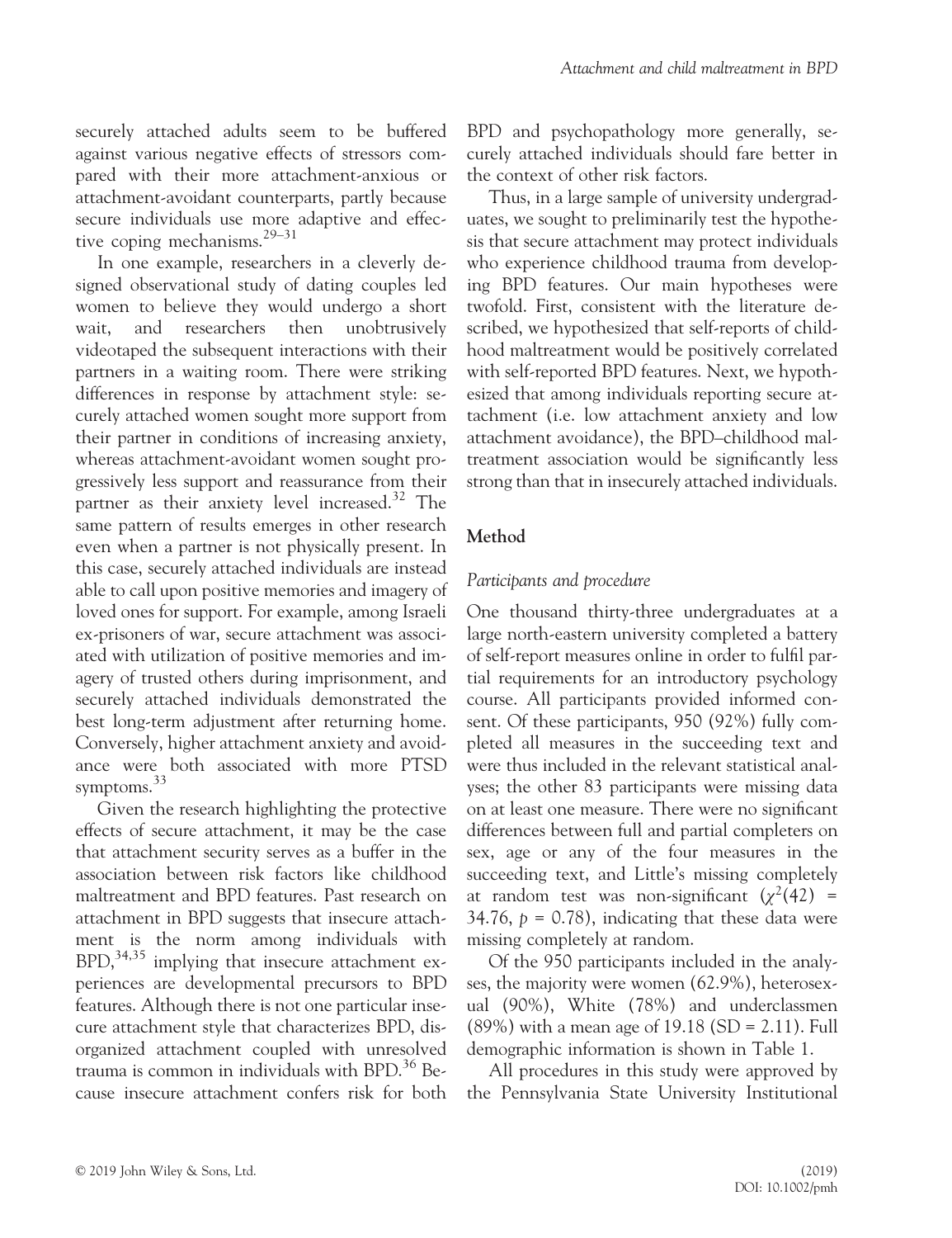securely attached adults seem to be buffered against various negative effects of stressors compared with their more attachment-anxious or attachment-avoidant counterparts, partly because secure individuals use more adaptive and effective coping mechanisms.29–<sup>31</sup>

In one example, researchers in a cleverly designed observational study of dating couples led women to believe they would undergo a short wait, and researchers then unobtrusively videotaped the subsequent interactions with their partners in a waiting room. There were striking differences in response by attachment style: securely attached women sought more support from their partner in conditions of increasing anxiety, whereas attachment-avoidant women sought progressively less support and reassurance from their partner as their anxiety level increased.<sup>32</sup> The same pattern of results emerges in other research even when a partner is not physically present. In this case, securely attached individuals are instead able to call upon positive memories and imagery of loved ones for support. For example, among Israeli ex-prisoners of war, secure attachment was associated with utilization of positive memories and imagery of trusted others during imprisonment, and securely attached individuals demonstrated the best long-term adjustment after returning home. Conversely, higher attachment anxiety and avoidance were both associated with more PTSD symptoms.<sup>33</sup>

Given the research highlighting the protective effects of secure attachment, it may be the case that attachment security serves as a buffer in the association between risk factors like childhood maltreatment and BPD features. Past research on attachment in BPD suggests that insecure attachment is the norm among individuals with  $BPD$ ,<sup>34,35</sup> implying that insecure attachment experiences are developmental precursors to BPD features. Although there is not one particular insecure attachment style that characterizes BPD, disorganized attachment coupled with unresolved trauma is common in individuals with BPD.<sup>36</sup> Because insecure attachment confers risk for both BPD and psychopathology more generally, securely attached individuals should fare better in the context of other risk factors.

Thus, in a large sample of university undergraduates, we sought to preliminarily test the hypothesis that secure attachment may protect individuals who experience childhood trauma from developing BPD features. Our main hypotheses were twofold. First, consistent with the literature described, we hypothesized that self-reports of childhood maltreatment would be positively correlated with self-reported BPD features. Next, we hypothesized that among individuals reporting secure attachment (i.e. low attachment anxiety and low attachment avoidance), the BPD–childhood maltreatment association would be significantly less strong than that in insecurely attached individuals.

## **Method**

## *Participants and procedure*

One thousand thirty-three undergraduates at a large north-eastern university completed a battery of self-report measures online in order to fulfil partial requirements for an introductory psychology course. All participants provided informed consent. Of these participants, 950 (92%) fully completed all measures in the succeeding text and were thus included in the relevant statistical analyses; the other 83 participants were missing data on at least one measure. There were no significant differences between full and partial completers on sex, age or any of the four measures in the succeeding text, and Little's missing completely at random test was non-significant  $(\chi^2(42)$  = 34.76,  $p = 0.78$ ), indicating that these data were missing completely at random.

Of the 950 participants included in the analyses, the majority were women (62.9%), heterosexual (90%), White (78%) and underclassmen (89%) with a mean age of 19.18 (SD = 2.11). Full demographic information is shown in Table 1.

All procedures in this study were approved by the Pennsylvania State University Institutional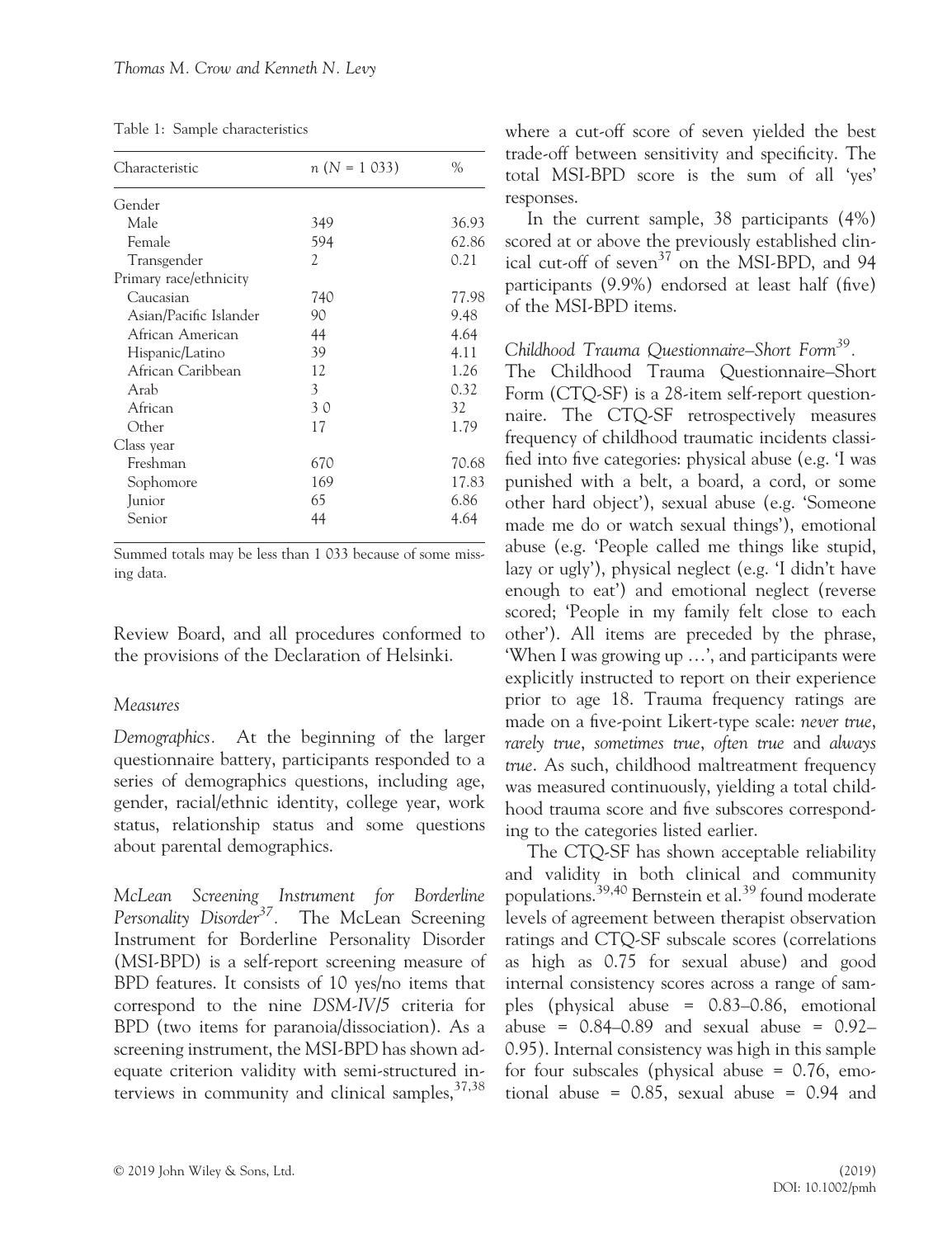| Characteristic         | $n (N = 1 033)$ | $\%$  |
|------------------------|-----------------|-------|
| Gender                 |                 |       |
| Male                   | 349             | 36.93 |
| Female                 | 594             | 62.86 |
| Transgender            | 2               | 0.21  |
| Primary race/ethnicity |                 |       |
| Caucasian              | 740             | 77.98 |
| Asian/Pacific Islander | 90              | 9.48  |
| African American       | 44              | 4.64  |
| Hispanic/Latino        | 39              | 4.11  |
| African Caribbean      | 12              | 1.26  |
| Arab                   | 3               | 0.32  |
| African                | 30              | 32    |
| Other                  | 17              | 1.79  |
| Class year             |                 |       |
| Freshman               | 670             | 70.68 |
| Sophomore              | 169             | 17.83 |
| Junior                 | 65              | 6.86  |
| Senior                 | 44              | 4.64  |
|                        |                 |       |

Table 1: Sample characteristics

Summed totals may be less than 1 033 because of some missing data.

Review Board, and all procedures conformed to the provisions of the Declaration of Helsinki.

#### *Measures*

*Demographics.* At the beginning of the larger questionnaire battery, participants responded to a series of demographics questions, including age, gender, racial/ethnic identity, college year, work status, relationship status and some questions about parental demographics.

*McLean Screening Instrument for Borderline Personality Disorder37.* The McLean Screening Instrument for Borderline Personality Disorder (MSI-BPD) is a self-report screening measure of BPD features. It consists of 10 yes/no items that correspond to the nine *DSM-IV/5* criteria for BPD (two items for paranoia/dissociation). As a screening instrument, the MSI-BPD has shown adequate criterion validity with semi-structured interviews in community and clinical samples,  $37,38$  where a cut-off score of seven yielded the best trade-off between sensitivity and specificity. The total MSI-BPD score is the sum of all 'yes' responses.

In the current sample, 38 participants (4%) scored at or above the previously established clinical cut-off of seven<sup>37</sup> on the MSI-BPD, and 94 participants (9.9%) endorsed at least half (five) of the MSI-BPD items.

*Childhood Trauma Questionnaire–Short Form39.*

The Childhood Trauma Questionnaire–Short Form (CTQ-SF) is a 28-item self-report questionnaire. The CTQ-SF retrospectively measures frequency of childhood traumatic incidents classified into five categories: physical abuse (e.g. 'I was punished with a belt, a board, a cord, or some other hard object'), sexual abuse (e.g. 'Someone made me do or watch sexual things'), emotional abuse (e.g. 'People called me things like stupid, lazy or ugly'), physical neglect (e.g. 'I didn't have enough to eat') and emotional neglect (reverse scored; 'People in my family felt close to each other'). All items are preceded by the phrase, 'When I was growing up …', and participants were explicitly instructed to report on their experience prior to age 18. Trauma frequency ratings are made on a five-point Likert-type scale: *never true*, *rarely true*, *sometimes true*, *often true* and *always true*. As such, childhood maltreatment frequency was measured continuously, yielding a total childhood trauma score and five subscores corresponding to the categories listed earlier.

The CTQ-SF has shown acceptable reliability and validity in both clinical and community populations.<sup>39,40</sup> Bernstein et al.<sup>39</sup> found moderate levels of agreement between therapist observation ratings and CTQ-SF subscale scores (correlations as high as 0.75 for sexual abuse) and good internal consistency scores across a range of samples (physical abuse = 0.83–0.86, emotional abuse =  $0.84 - 0.89$  and sexual abuse =  $0.92 -$ 0.95). Internal consistency was high in this sample for four subscales (physical abuse  $= 0.76$ , emotional abuse =  $0.85$ , sexual abuse =  $0.94$  and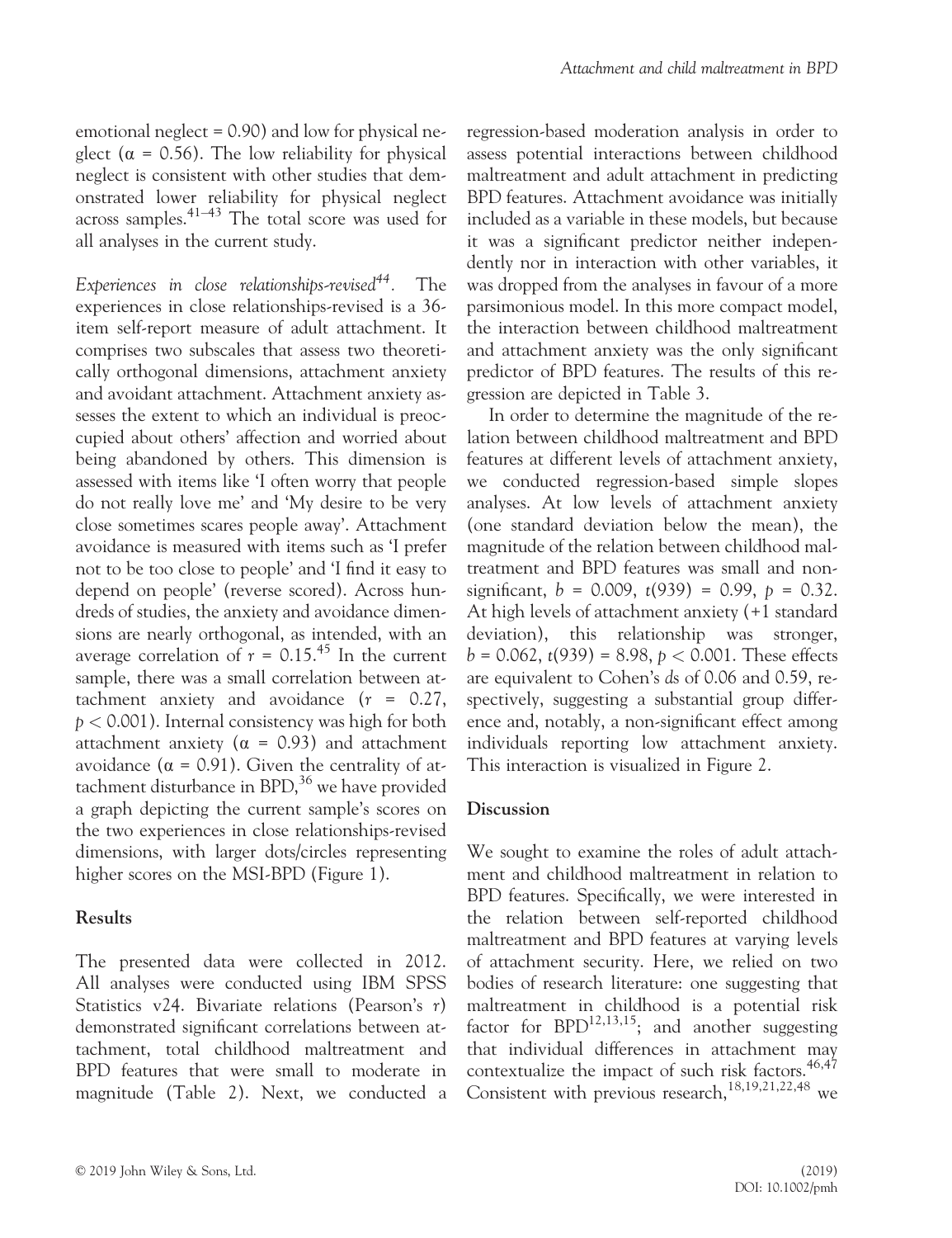emotional neglect = 0.90) and low for physical neglect ( $\alpha$  = 0.56). The low reliability for physical neglect is consistent with other studies that demonstrated lower reliability for physical neglect across samples.  $41-43$  The total score was used for all analyses in the current study.

*Experiences in close relationships-revised44.* The experiences in close relationships-revised is a 36 item self-report measure of adult attachment. It comprises two subscales that assess two theoretically orthogonal dimensions, attachment anxiety and avoidant attachment. Attachment anxiety assesses the extent to which an individual is preoccupied about others' affection and worried about being abandoned by others. This dimension is assessed with items like 'I often worry that people do not really love me' and 'My desire to be very close sometimes scares people away'. Attachment avoidance is measured with items such as 'I prefer not to be too close to people' and 'I find it easy to depend on people' (reverse scored). Across hundreds of studies, the anxiety and avoidance dimensions are nearly orthogonal, as intended, with an average correlation of  $r = 0.15$ .<sup>45</sup> In the current sample, there was a small correlation between attachment anxiety and avoidance (*r* = 0.27, *p <* 0.001). Internal consistency was high for both attachment anxiety ( $\alpha$  = 0.93) and attachment avoidance ( $α = 0.91$ ). Given the centrality of attachment disturbance in  $BPD<sub>1</sub><sup>36</sup>$  we have provided a graph depicting the current sample's scores on the two experiences in close relationships-revised dimensions, with larger dots/circles representing higher scores on the MSI-BPD (Figure 1).

## **Results**

The presented data were collected in 2012. All analyses were conducted using IBM SPSS Statistics v24. Bivariate relations (Pearson's *r*) demonstrated significant correlations between attachment, total childhood maltreatment and BPD features that were small to moderate in magnitude (Table 2). Next, we conducted a regression-based moderation analysis in order to assess potential interactions between childhood maltreatment and adult attachment in predicting BPD features. Attachment avoidance was initially included as a variable in these models, but because it was a significant predictor neither independently nor in interaction with other variables, it was dropped from the analyses in favour of a more parsimonious model. In this more compact model, the interaction between childhood maltreatment and attachment anxiety was the only significant predictor of BPD features. The results of this regression are depicted in Table 3.

In order to determine the magnitude of the relation between childhood maltreatment and BPD features at different levels of attachment anxiety, we conducted regression-based simple slopes analyses. At low levels of attachment anxiety (one standard deviation below the mean), the magnitude of the relation between childhood maltreatment and BPD features was small and nonsignificant,  $b = 0.009$ ,  $t(939) = 0.99$ ,  $p = 0.32$ . At high levels of attachment anxiety (+1 standard deviation), this relationship was stronger, *b* = 0.062, *t*(939) = 8.98, *p <* 0.001. These effects are equivalent to Cohen's *d*s of 0.06 and 0.59, respectively, suggesting a substantial group difference and, notably, a non-significant effect among individuals reporting low attachment anxiety. This interaction is visualized in Figure 2.

## **Discussion**

We sought to examine the roles of adult attachment and childhood maltreatment in relation to BPD features. Specifically, we were interested in the relation between self-reported childhood maltreatment and BPD features at varying levels of attachment security. Here, we relied on two bodies of research literature: one suggesting that maltreatment in childhood is a potential risk factor for  $BPD<sup>12,13,15</sup>$ ; and another suggesting that individual differences in attachment may contextualize the impact of such risk factors.  $46,47$ Consistent with previous research,  $18,19,21,22,48$  we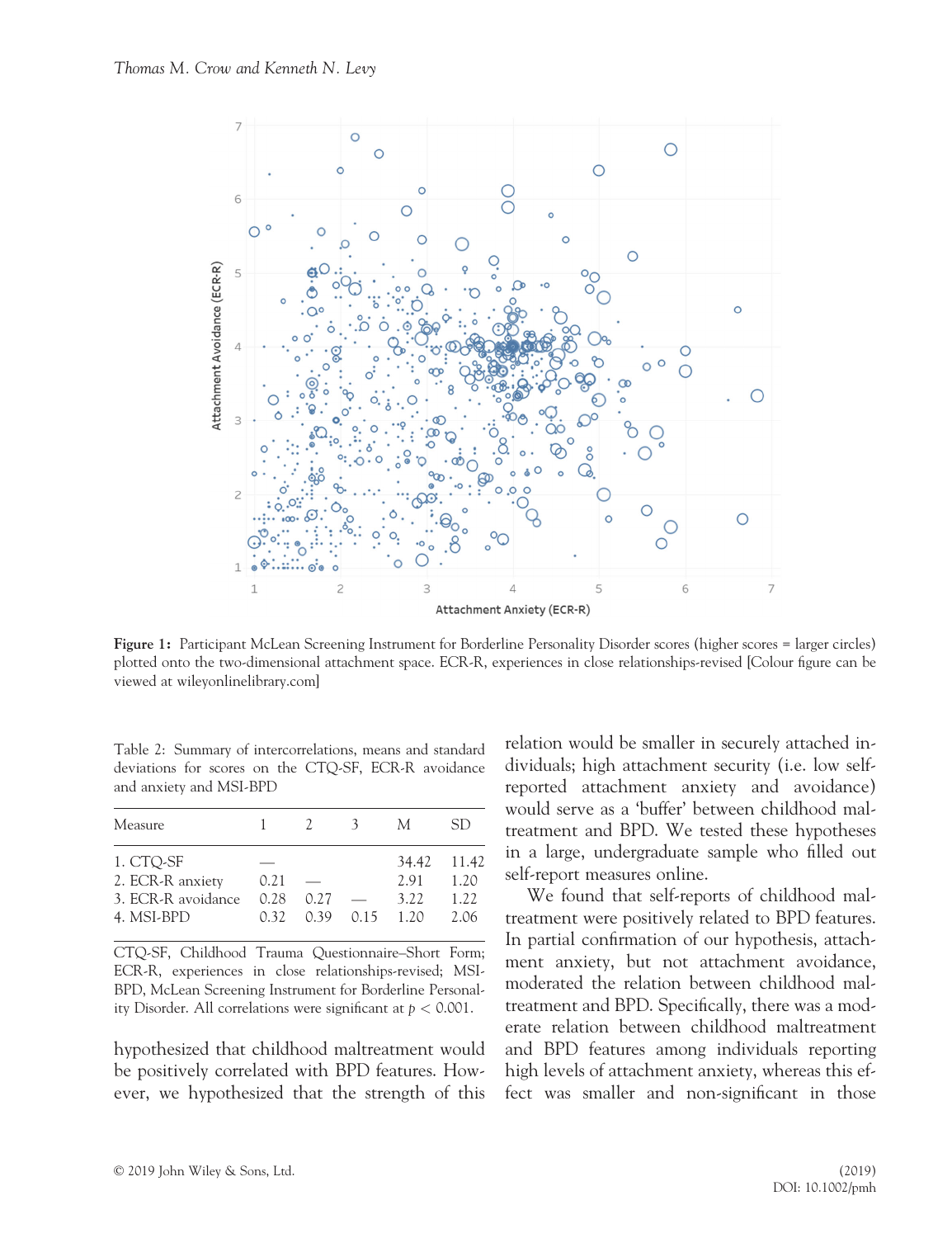

**Figure 1:** Participant McLean Screening Instrument for Borderline Personality Disorder scores (higher scores = larger circles) plotted onto the two-dimensional attachment space. ECR-R, experiences in close relationships-revised [Colour figure can be viewed at [wileyonlinelibrary.com](http://wileyonlinelibrary.com)]

Table 2: Summary of intercorrelations, means and standard deviations for scores on the CTQ-SF, ECR-R avoidance and anxiety and MSI-BPD

| Measure            |      | $\mathcal{L}$ | $\overline{3}$     | M           | SD.  |
|--------------------|------|---------------|--------------------|-------------|------|
| 1. CTO-SF          |      |               |                    | 34.42 11.42 |      |
| 2. ECR-R anxiety   | 0.21 |               |                    | 2.91        | 1.20 |
| 3. ECR-R avoidance | 0.28 | 0.27          |                    | 3.22        | 1.22 |
| 4. MSI-BPD         | 0.32 |               | $0.39$ $0.15$ 1.20 |             | 2.06 |
|                    |      |               |                    |             |      |

CTQ-SF, Childhood Trauma Questionnaire–Short Form; ECR-R, experiences in close relationships-revised; MSI-BPD, McLean Screening Instrument for Borderline Personality Disorder. All correlations were significant at *p <* 0.001.

hypothesized that childhood maltreatment would be positively correlated with BPD features. However, we hypothesized that the strength of this relation would be smaller in securely attached individuals; high attachment security (i.e. low selfreported attachment anxiety and avoidance) would serve as a 'buffer' between childhood maltreatment and BPD. We tested these hypotheses in a large, undergraduate sample who filled out self-report measures online.

We found that self-reports of childhood maltreatment were positively related to BPD features. In partial confirmation of our hypothesis, attachment anxiety, but not attachment avoidance, moderated the relation between childhood maltreatment and BPD. Specifically, there was a moderate relation between childhood maltreatment and BPD features among individuals reporting high levels of attachment anxiety, whereas this effect was smaller and non-significant in those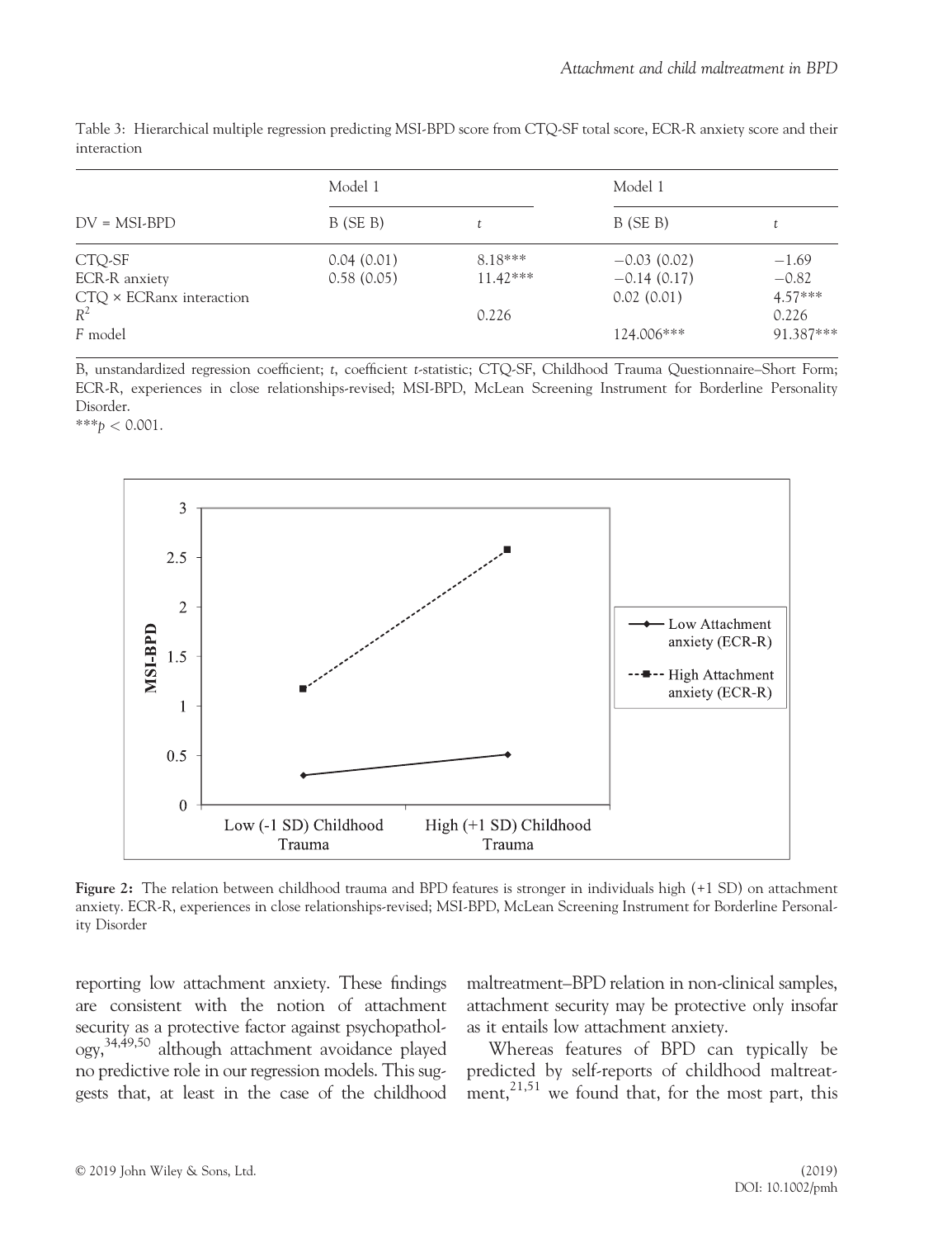| $DV = MSI-BPD$                   | Model 1    |            | Model 1       |           |  |
|----------------------------------|------------|------------|---------------|-----------|--|
|                                  | $B$ (SE B) |            | $B$ (SE B)    | ι         |  |
| CTQ-SF                           | 0.04(0.01) | $8.18***$  | $-0.03(0.02)$ | $-1.69$   |  |
| ECR-R anxiety                    | 0.58(0.05) | $11.42***$ | $-0.14(0.17)$ | $-0.82$   |  |
| $CTQ \times ECR$ anx interaction |            |            | 0.02(0.01)    | $4.57***$ |  |
| $R^2$                            |            | 0.226      |               | 0.226     |  |
| F model                          |            |            | 124.006***    | 91.387*** |  |

Table 3: Hierarchical multiple regression predicting MSI-BPD score from CTQ-SF total score, ECR-R anxiety score and their interaction

B, unstandardized regression coefficient; *t*, coefficient *t*-statistic; CTQ-SF, Childhood Trauma Questionnaire–Short Form; ECR-R, experiences in close relationships-revised; MSI-BPD, McLean Screening Instrument for Borderline Personality Disorder.  $***<sub>b</sub> < 0.001$ .



**Figure 2:** The relation between childhood trauma and BPD features is stronger in individuals high (+1 SD) on attachment anxiety. ECR-R, experiences in close relationships-revised; MSI-BPD, McLean Screening Instrument for Borderline Personality Disorder

reporting low attachment anxiety. These findings are consistent with the notion of attachment security as a protective factor against psychopathology,34,49,50 although attachment avoidance played no predictive role in our regression models. This suggests that, at least in the case of the childhood

maltreatment–BPD relation in non-clinical samples, attachment security may be protective only insofar as it entails low attachment anxiety.

Whereas features of BPD can typically be predicted by self-reports of childhood maltreatment, $^{21,51}$  we found that, for the most part, this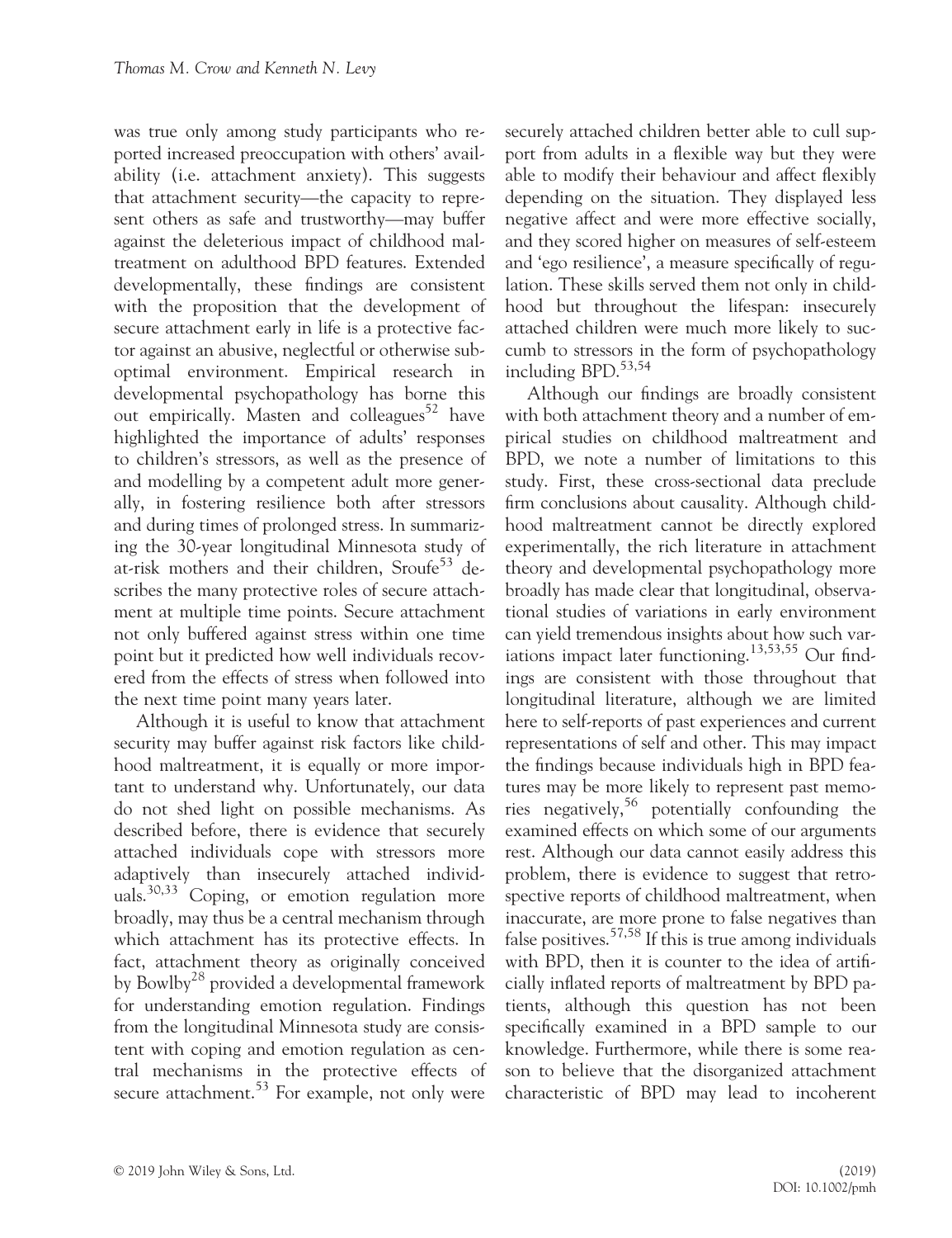was true only among study participants who reported increased preoccupation with others' availability (i.e. attachment anxiety). This suggests that attachment security—the capacity to represent others as safe and trustworthy—may buffer against the deleterious impact of childhood maltreatment on adulthood BPD features. Extended developmentally, these findings are consistent with the proposition that the development of secure attachment early in life is a protective factor against an abusive, neglectful or otherwise suboptimal environment. Empirical research in developmental psychopathology has borne this out empirically. Masten and colleagues<sup>52</sup> have highlighted the importance of adults' responses to children's stressors, as well as the presence of and modelling by a competent adult more generally, in fostering resilience both after stressors and during times of prolonged stress. In summarizing the 30-year longitudinal Minnesota study of at-risk mothers and their children, Sroufe<sup>53</sup> describes the many protective roles of secure attachment at multiple time points. Secure attachment not only buffered against stress within one time point but it predicted how well individuals recovered from the effects of stress when followed into the next time point many years later.

Although it is useful to know that attachment security may buffer against risk factors like childhood maltreatment, it is equally or more important to understand why. Unfortunately, our data do not shed light on possible mechanisms. As described before, there is evidence that securely attached individuals cope with stressors more adaptively than insecurely attached individuals.<sup>30,33</sup> Coping, or emotion regulation more broadly, may thus be a central mechanism through which attachment has its protective effects. In fact, attachment theory as originally conceived by Bowlby<sup>28</sup> provided a developmental framework for understanding emotion regulation. Findings from the longitudinal Minnesota study are consistent with coping and emotion regulation as central mechanisms in the protective effects of secure attachment.<sup>53</sup> For example, not only were

securely attached children better able to cull support from adults in a flexible way but they were able to modify their behaviour and affect flexibly depending on the situation. They displayed less negative affect and were more effective socially, and they scored higher on measures of self-esteem and 'ego resilience', a measure specifically of regulation. These skills served them not only in childhood but throughout the lifespan: insecurely attached children were much more likely to succumb to stressors in the form of psychopathology including BPD.<sup>53,54</sup>

Although our findings are broadly consistent with both attachment theory and a number of empirical studies on childhood maltreatment and BPD, we note a number of limitations to this study. First, these cross-sectional data preclude firm conclusions about causality. Although childhood maltreatment cannot be directly explored experimentally, the rich literature in attachment theory and developmental psychopathology more broadly has made clear that longitudinal, observational studies of variations in early environment can yield tremendous insights about how such variations impact later functioning.<sup>13,53,55</sup> Our findings are consistent with those throughout that longitudinal literature, although we are limited here to self-reports of past experiences and current representations of self and other. This may impact the findings because individuals high in BPD features may be more likely to represent past memories negatively,<sup>56</sup> potentially confounding the examined effects on which some of our arguments rest. Although our data cannot easily address this problem, there is evidence to suggest that retrospective reports of childhood maltreatment, when inaccurate, are more prone to false negatives than false positives.57,58 If this is true among individuals with BPD, then it is counter to the idea of artificially inflated reports of maltreatment by BPD patients, although this question has not been specifically examined in a BPD sample to our knowledge. Furthermore, while there is some reason to believe that the disorganized attachment characteristic of BPD may lead to incoherent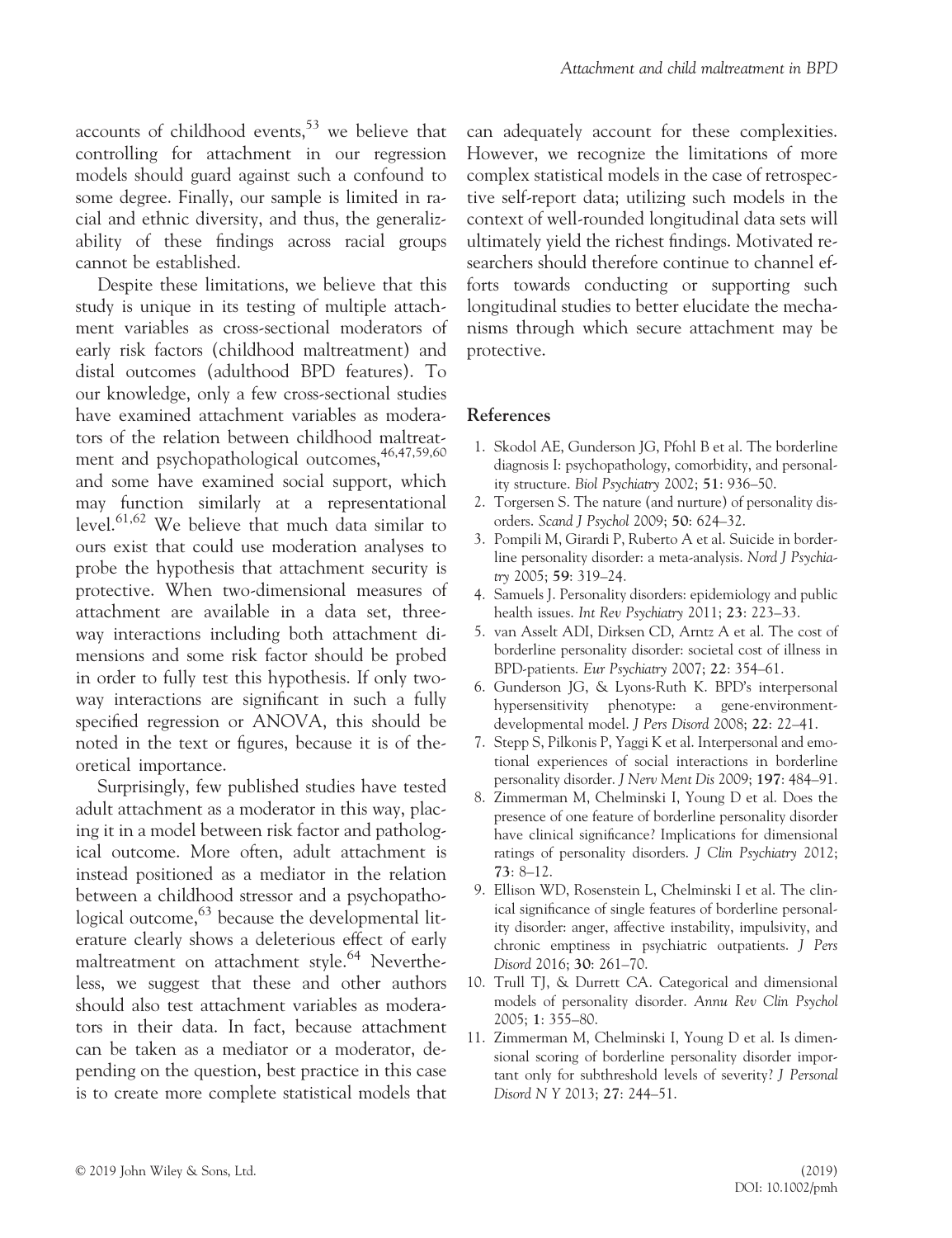accounts of childhood events,<sup>53</sup> we believe that controlling for attachment in our regression models should guard against such a confound to some degree. Finally, our sample is limited in racial and ethnic diversity, and thus, the generalizability of these findings across racial groups cannot be established.

Despite these limitations, we believe that this study is unique in its testing of multiple attachment variables as cross-sectional moderators of early risk factors (childhood maltreatment) and distal outcomes (adulthood BPD features). To our knowledge, only a few cross-sectional studies have examined attachment variables as moderators of the relation between childhood maltreatment and psychopathological outcomes.<sup>46,47,59,60</sup> and some have examined social support, which may function similarly at a representational level.61,62 We believe that much data similar to ours exist that could use moderation analyses to probe the hypothesis that attachment security is protective. When two-dimensional measures of attachment are available in a data set, threeway interactions including both attachment dimensions and some risk factor should be probed in order to fully test this hypothesis. If only twoway interactions are significant in such a fully specified regression or ANOVA, this should be noted in the text or figures, because it is of theoretical importance.

Surprisingly, few published studies have tested adult attachment as a moderator in this way, placing it in a model between risk factor and pathological outcome. More often, adult attachment is instead positioned as a mediator in the relation between a childhood stressor and a psychopathological outcome, $63$  because the developmental literature clearly shows a deleterious effect of early maltreatment on attachment style.<sup>64</sup> Nevertheless, we suggest that these and other authors should also test attachment variables as moderators in their data. In fact, because attachment can be taken as a mediator or a moderator, depending on the question, best practice in this case is to create more complete statistical models that can adequately account for these complexities. However, we recognize the limitations of more complex statistical models in the case of retrospective self-report data; utilizing such models in the context of well-rounded longitudinal data sets will ultimately yield the richest findings. Motivated researchers should therefore continue to channel efforts towards conducting or supporting such longitudinal studies to better elucidate the mechanisms through which secure attachment may be protective.

## **References**

- 1. Skodol AE, Gunderson JG, Pfohl B et al. The borderline diagnosis I: psychopathology, comorbidity, and personality structure. *Biol Psychiatry* 2002; **51**: 936–50.
- 2. Torgersen S. The nature (and nurture) of personality disorders. *Scand J Psychol* 2009; **50**: 624–32.
- 3. Pompili M, Girardi P, Ruberto A et al. Suicide in borderline personality disorder: a meta-analysis. *Nord J Psychiatry* 2005; **59**: 319–24.
- 4. Samuels J. Personality disorders: epidemiology and public health issues. *Int Rev Psychiatry* 2011; **23**: 223–33.
- 5. van Asselt ADI, Dirksen CD, Arntz A et al. The cost of borderline personality disorder: societal cost of illness in BPD-patients. *Eur Psychiatry* 2007; **22**: 354–61.
- 6. Gunderson JG, & Lyons-Ruth K. BPD's interpersonal hypersensitivity phenotype: a gene-environmentdevelopmental model. *J Pers Disord* 2008; **22**: 22–41.
- 7. Stepp S, Pilkonis P, Yaggi K et al. Interpersonal and emotional experiences of social interactions in borderline personality disorder. *J Nerv Ment Dis* 2009; **197**: 484–91.
- 8. Zimmerman M, Chelminski I, Young D et al. Does the presence of one feature of borderline personality disorder have clinical significance? Implications for dimensional ratings of personality disorders. *J Clin Psychiatry* 2012; **73**: 8–12.
- 9. Ellison WD, Rosenstein L, Chelminski I et al. The clinical significance of single features of borderline personality disorder: anger, affective instability, impulsivity, and chronic emptiness in psychiatric outpatients. *J Pers Disord* 2016; **30**: 261–70.
- 10. Trull TJ, & Durrett CA. Categorical and dimensional models of personality disorder. *Annu Rev Clin Psychol* 2005; **1**: 355–80.
- 11. Zimmerman M, Chelminski I, Young D et al. Is dimensional scoring of borderline personality disorder important only for subthreshold levels of severity? *J Personal Disord N Y* 2013; **27**: 244–51.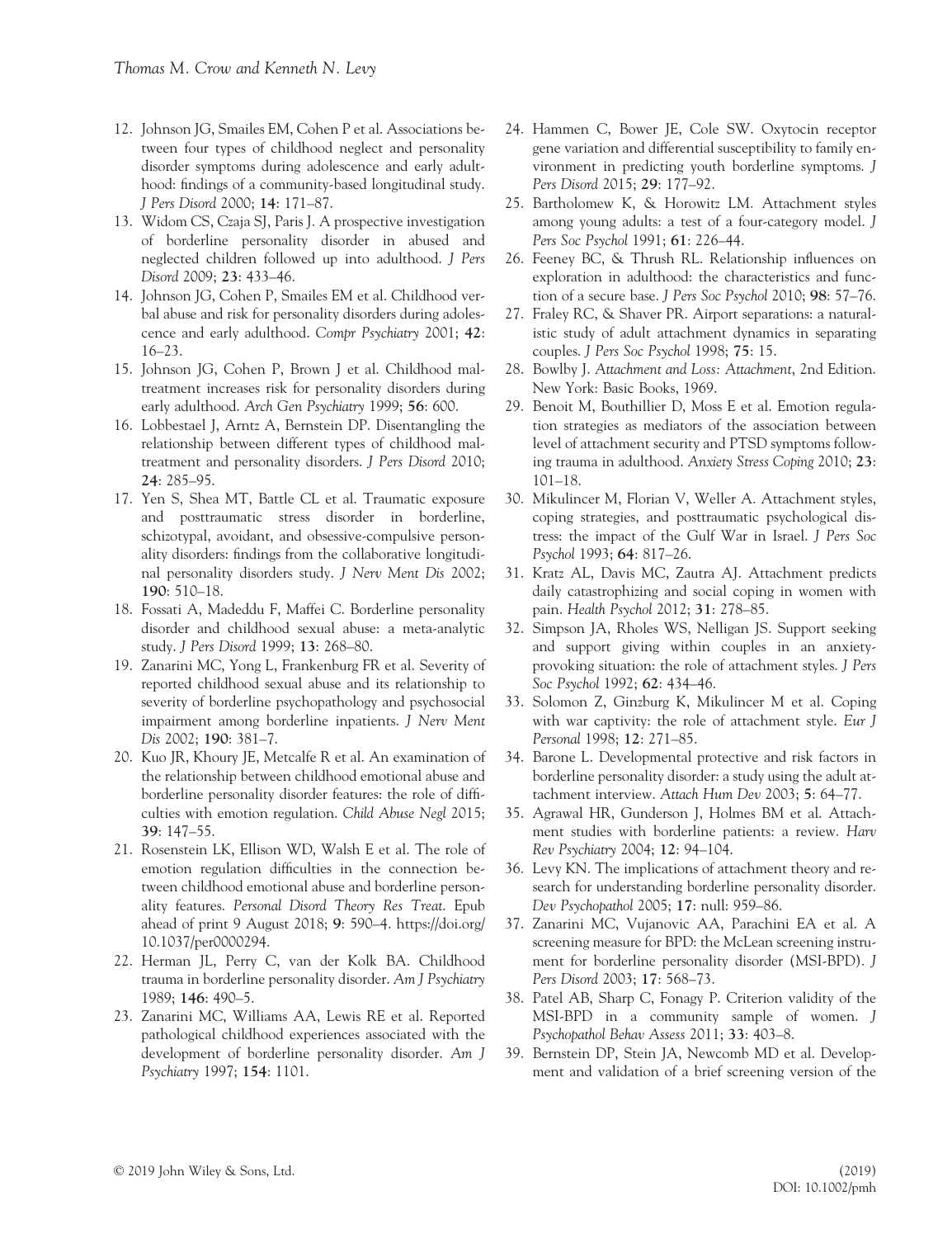- 12. Johnson JG, Smailes EM, Cohen P et al. Associations between four types of childhood neglect and personality disorder symptoms during adolescence and early adulthood: findings of a community-based longitudinal study. *J Pers Disord* 2000; **14**: 171–87.
- 13. Widom CS, Czaja SJ, Paris J. A prospective investigation of borderline personality disorder in abused and neglected children followed up into adulthood. *J Pers Disord* 2009; **23**: 433–46.
- 14. Johnson JG, Cohen P, Smailes EM et al. Childhood verbal abuse and risk for personality disorders during adolescence and early adulthood. *Compr Psychiatry* 2001; **42**: 16–23.
- 15. Johnson JG, Cohen P, Brown J et al. Childhood maltreatment increases risk for personality disorders during early adulthood. *Arch Gen Psychiatry* 1999; **56**: 600.
- 16. Lobbestael J, Arntz A, Bernstein DP. Disentangling the relationship between different types of childhood maltreatment and personality disorders. *J Pers Disord* 2010; **24**: 285–95.
- 17. Yen S, Shea MT, Battle CL et al. Traumatic exposure and posttraumatic stress disorder in borderline, schizotypal, avoidant, and obsessive-compulsive personality disorders: findings from the collaborative longitudinal personality disorders study. *J Nerv Ment Dis* 2002; **190**: 510–18.
- 18. Fossati A, Madeddu F, Maffei C. Borderline personality disorder and childhood sexual abuse: a meta-analytic study. *J Pers Disord* 1999; **13**: 268–80.
- 19. Zanarini MC, Yong L, Frankenburg FR et al. Severity of reported childhood sexual abuse and its relationship to severity of borderline psychopathology and psychosocial impairment among borderline inpatients. *J Nerv Ment Dis* 2002; **190**: 381–7.
- 20. Kuo JR, Khoury JE, Metcalfe R et al. An examination of the relationship between childhood emotional abuse and borderline personality disorder features: the role of difficulties with emotion regulation. *Child Abuse Negl* 2015; **39**: 147–55.
- 21. Rosenstein LK, Ellison WD, Walsh E et al. The role of emotion regulation difficulties in the connection between childhood emotional abuse and borderline personality features. *Personal Disord Theory Res Treat*. Epub ahead of print 9 August 2018; **9**: 590–4. [https://doi.org/](https://doi.org/10.1037/per0000294) [10.1037/per0000294.](https://doi.org/10.1037/per0000294)
- 22. Herman JL, Perry C, van der Kolk BA. Childhood trauma in borderline personality disorder. *Am J Psychiatry* 1989; **146**: 490–5.
- 23. Zanarini MC, Williams AA, Lewis RE et al. Reported pathological childhood experiences associated with the development of borderline personality disorder. *Am J Psychiatry* 1997; **154**: 1101.
- 24. Hammen C, Bower JE, Cole SW. Oxytocin receptor gene variation and differential susceptibility to family environment in predicting youth borderline symptoms. *J Pers Disord* 2015; **29**: 177–92.
- 25. Bartholomew K, & Horowitz LM. Attachment styles among young adults: a test of a four-category model. *J Pers Soc Psychol* 1991; **61**: 226–44.
- 26. Feeney BC, & Thrush RL. Relationship influences on exploration in adulthood: the characteristics and function of a secure base. *J Pers Soc Psychol* 2010; **98**: 57–76.
- 27. Fraley RC, & Shaver PR. Airport separations: a naturalistic study of adult attachment dynamics in separating couples. *J Pers Soc Psychol* 1998; **75**: 15.
- 28. Bowlby J. *Attachment and Loss: Attachment*, 2nd Edition. New York: Basic Books, 1969.
- 29. Benoit M, Bouthillier D, Moss E et al. Emotion regulation strategies as mediators of the association between level of attachment security and PTSD symptoms following trauma in adulthood. *Anxiety Stress Coping* 2010; **23**: 101–18.
- 30. Mikulincer M, Florian V, Weller A. Attachment styles, coping strategies, and posttraumatic psychological distress: the impact of the Gulf War in Israel. *J Pers Soc Psychol* 1993; **64**: 817–26.
- 31. Kratz AL, Davis MC, Zautra AJ. Attachment predicts daily catastrophizing and social coping in women with pain. *Health Psychol* 2012; **31**: 278–85.
- 32. Simpson JA, Rholes WS, Nelligan JS. Support seeking and support giving within couples in an anxietyprovoking situation: the role of attachment styles. *J Pers Soc Psychol* 1992; **62**: 434–46.
- 33. Solomon Z, Ginzburg K, Mikulincer M et al. Coping with war captivity: the role of attachment style. *Eur J Personal* 1998; **12**: 271–85.
- 34. Barone L. Developmental protective and risk factors in borderline personality disorder: a study using the adult attachment interview. *Attach Hum Dev* 2003; **5**: 64–77.
- 35. Agrawal HR, Gunderson J, Holmes BM et al. Attachment studies with borderline patients: a review. *Harv Rev Psychiatry* 2004; **12**: 94–104.
- 36. Levy KN. The implications of attachment theory and research for understanding borderline personality disorder. *Dev Psychopathol* 2005; **17**: null: 959–86.
- 37. Zanarini MC, Vujanovic AA, Parachini EA et al. A screening measure for BPD: the McLean screening instrument for borderline personality disorder (MSI-BPD). *J Pers Disord* 2003; **17**: 568–73.
- 38. Patel AB, Sharp C, Fonagy P. Criterion validity of the MSI-BPD in a community sample of women. *J Psychopathol Behav Assess* 2011; **33**: 403–8.
- 39. Bernstein DP, Stein JA, Newcomb MD et al. Development and validation of a brief screening version of the